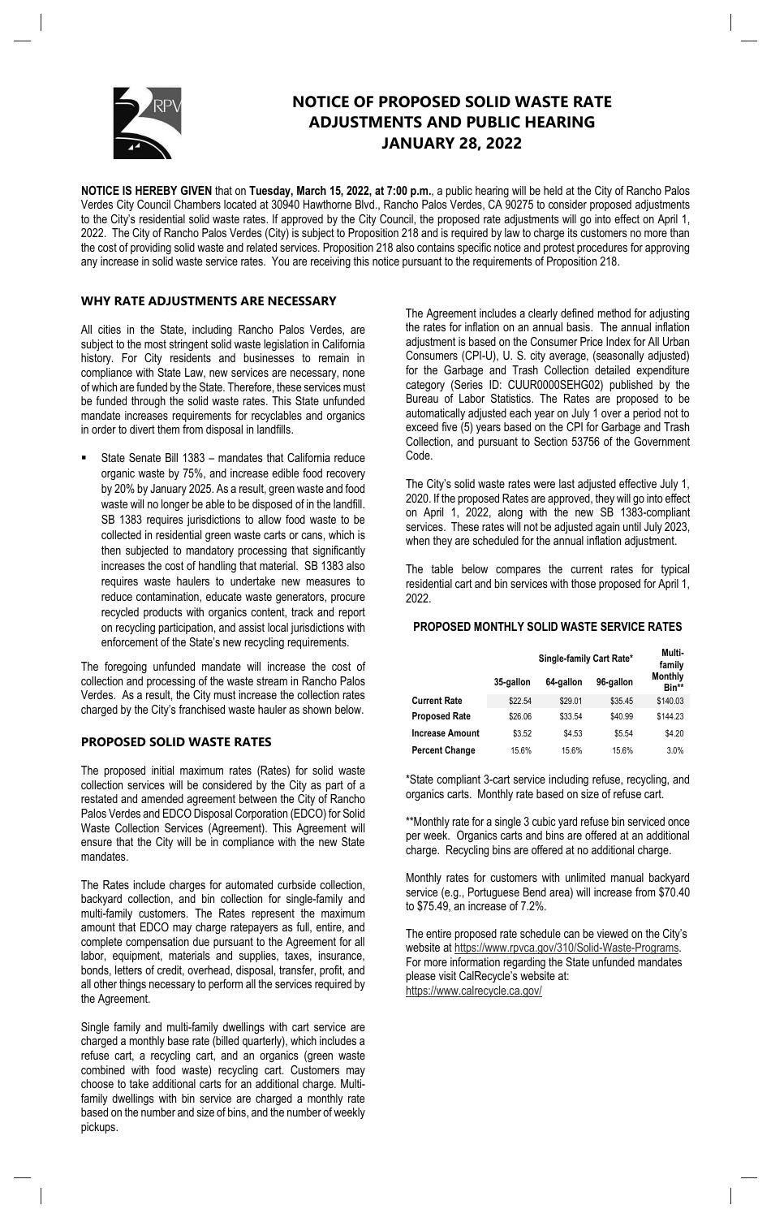

# **NOTICE OF PROPOSED SOLID WASTE RATE ADJUSTMENTS AND PUBLIC HEARING JANUARY 28, 2022**

**NOTICE IS HEREBY GIVEN** that on **Tuesday, March 15, 2022, at 7:00 p.m.**, a public hearing will be held at the City of Rancho Palos Verdes City Council Chambers located at 30940 Hawthorne Blvd., Rancho Palos Verdes, CA 90275 to consider proposed adjustments to the City's residential solid waste rates. If approved by the City Council, the proposed rate adjustments will go into effect on April 1, 2022. The City of Rancho Palos Verdes (City) is subject to Proposition 218 and is required by law to charge its customers no more than the cost of providing solid waste and related services. Proposition 218 also contains specific notice and protest procedures for approving any increase in solid waste service rates. You are receiving this notice pursuant to the requirements of Proposition 218.

### **WHY RATE ADJUSTMENTS ARE NECESSARY**

All cities in the State, including Rancho Palos Verdes, are subject to the most stringent solid waste legislation in California history. For City residents and businesses to remain in compliance with State Law, new services are necessary, none of which are funded by the State. Therefore, these services must be funded through the solid waste rates. This State unfunded mandate increases requirements for recyclables and organics in order to divert them from disposal in landfills.

State Senate Bill 1383 – mandates that California reduce organic waste by 75%, and increase edible food recovery by 20% by January 2025. As a result, green waste and food waste will no longer be able to be disposed of in the landfill. SB 1383 requires jurisdictions to allow food waste to be collected in residential green waste carts or cans, which is then subjected to mandatory processing that significantly increases the cost of handling that material. SB 1383 also requires waste haulers to undertake new measures to reduce contamination, educate waste generators, procure recycled products with organics content, track and report on recycling participation, and assist local jurisdictions with enforcement of the State's new recycling requirements.

The foregoing unfunded mandate will increase the cost of collection and processing of the waste stream in Rancho Palos Verdes. As a result, the City must increase the collection rates charged by the City's franchised waste hauler as shown below.

#### **PROPOSED SOLID WASTE RATES**

The proposed initial maximum rates (Rates) for solid waste collection services will be considered by the City as part of a restated and amended agreement between the City of Rancho Palos Verdes and EDCO Disposal Corporation (EDCO) for Solid Waste Collection Services (Agreement). This Agreement will ensure that the City will be in compliance with the new State mandates.

The Rates include charges for automated curbside collection, backyard collection, and bin collection for single-family and multi-family customers. The Rates represent the maximum amount that EDCO may charge ratepayers as full, entire, and complete compensation due pursuant to the Agreement for all labor, equipment, materials and supplies, taxes, insurance, bonds, letters of credit, overhead, disposal, transfer, profit, and all other things necessary to perform all the services required by the Agreement.

Single family and multi-family dwellings with cart service are charged a monthly base rate (billed quarterly), which includes a refuse cart, a recycling cart, and an organics (green waste combined with food waste) recycling cart. Customers may choose to take additional carts for an additional charge. Multifamily dwellings with bin service are charged a monthly rate based on the number and size of bins, and the number of weekly pickups.

The Agreement includes a clearly defined method for adjusting the rates for inflation on an annual basis. The annual inflation adjustment is based on the Consumer Price Index for All Urban Consumers (CPI-U), U. S. city average, (seasonally adjusted) for the Garbage and Trash Collection detailed expenditure category (Series ID: CUUR0000SEHG02) published by the Bureau of Labor Statistics. The Rates are proposed to be automatically adjusted each year on July 1 over a period not to exceed five (5) years based on the CPI for Garbage and Trash Collection, and pursuant to Section 53756 of the Government Code.

The City's solid waste rates were last adjusted effective July 1, 2020. If the proposed Rates are approved, they will go into effect on April 1, 2022, along with the new SB 1383-compliant services. These rates will not be adjusted again until July 2023, when they are scheduled for the annual inflation adjustment.

The table below compares the current rates for typical residential cart and bin services with those proposed for April 1, 2022.

#### **PROPOSED MONTHLY SOLID WASTE SERVICE RATES**

|                      | Single-family Cart Rate* |           |           | Multi-<br>family        |
|----------------------|--------------------------|-----------|-----------|-------------------------|
|                      | 35-gallon                | 64-gallon | 96-gallon | <b>Monthly</b><br>Bin** |
| <b>Current Rate</b>  | \$22.54                  | \$29.01   | \$35.45   | \$140.03                |
| <b>Proposed Rate</b> | \$26.06                  | \$33.54   | \$40.99   | \$144.23                |
| Increase Amount      | \$3.52                   | \$4.53    | \$5.54    | \$4.20                  |
| Percent Change       | 15.6%                    | 15.6%     | 15.6%     | 3.0%                    |

\*State compliant 3-cart service including refuse, recycling, and organics carts. Monthly rate based on size of refuse cart.

\*\*Monthly rate for a single 3 cubic yard refuse bin serviced once per week. Organics carts and bins are offered at an additional charge. Recycling bins are offered at no additional charge.

Monthly rates for customers with unlimited manual backyard service (e.g., Portuguese Bend area) will increase from \$70.40 to \$75.49, an increase of 7.2%.

The entire proposed rate schedule can be viewed on the City's website at https://www.rpvca.gov/310/Solid-Waste-Programs. For more information regarding the State unfunded mandates please visit CalRecycle's website at: https://www.calrecycle.ca.gov/